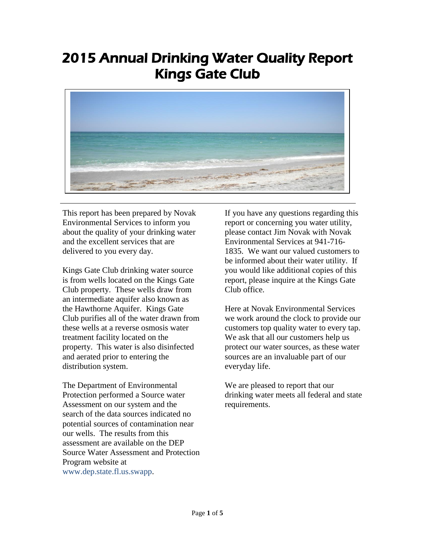## 2015 Annual Drinking Water Quality Report Kings Gate Club



This report has been prepared by Novak Environmental Services to inform you about the quality of your drinking water and the excellent services that are delivered to you every day.

Kings Gate Club drinking water source is from wells located on the Kings Gate Club property. These wells draw from an intermediate aquifer also known as the Hawthorne Aquifer. Kings Gate Club purifies all of the water drawn from these wells at a reverse osmosis water treatment facility located on the property. This water is also disinfected and aerated prior to entering the distribution system.

The Department of Environmental Protection performed a Source water Assessment on our system and the search of the data sources indicated no potential sources of contamination near our wells. The results from this assessment are available on the DEP Source Water Assessment and Protection Program website at www.dep.state.fl.us.swapp.

If you have any questions regarding this report or concerning you water utility, please contact Jim Novak with Novak Environmental Services at 941-716- 1835. We want our valued customers to be informed about their water utility. If you would like additional copies of this report, please inquire at the Kings Gate Club office.

Here at Novak Environmental Services we work around the clock to provide our customers top quality water to every tap. We ask that all our customers help us protect our water sources, as these water sources are an invaluable part of our everyday life.

We are pleased to report that our drinking water meets all federal and state requirements.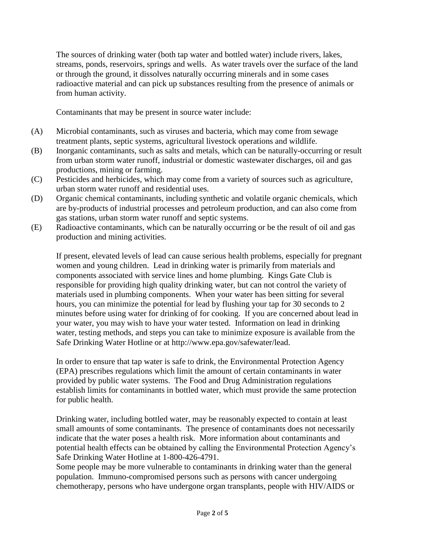The sources of drinking water (both tap water and bottled water) include rivers, lakes, streams, ponds, reservoirs, springs and wells. As water travels over the surface of the land or through the ground, it dissolves naturally occurring minerals and in some cases radioactive material and can pick up substances resulting from the presence of animals or from human activity.

Contaminants that may be present in source water include:

- (A) Microbial contaminants, such as viruses and bacteria, which may come from sewage treatment plants, septic systems, agricultural livestock operations and wildlife.
- (B) Inorganic contaminants, such as salts and metals, which can be naturally-occurring or result from urban storm water runoff, industrial or domestic wastewater discharges, oil and gas productions, mining or farming.
- (C) Pesticides and herbicides, which may come from a variety of sources such as agriculture, urban storm water runoff and residential uses.
- (D) Organic chemical contaminants, including synthetic and volatile organic chemicals, which are by-products of industrial processes and petroleum production, and can also come from gas stations, urban storm water runoff and septic systems.
- (E) Radioactive contaminants, which can be naturally occurring or be the result of oil and gas production and mining activities.

If present, elevated levels of lead can cause serious health problems, especially for pregnant women and young children. Lead in drinking water is primarily from materials and components associated with service lines and home plumbing. Kings Gate Club is responsible for providing high quality drinking water, but can not control the variety of materials used in plumbing components. When your water has been sitting for several hours, you can minimize the potential for lead by flushing your tap for 30 seconds to 2 minutes before using water for drinking of for cooking. If you are concerned about lead in your water, you may wish to have your water tested. Information on lead in drinking water, testing methods, and steps you can take to minimize exposure is available from the Safe Drinking Water Hotline or at http://www.epa.gov/safewater/lead.

In order to ensure that tap water is safe to drink, the Environmental Protection Agency (EPA) prescribes regulations which limit the amount of certain contaminants in water provided by public water systems. The Food and Drug Administration regulations establish limits for contaminants in bottled water, which must provide the same protection for public health.

Drinking water, including bottled water, may be reasonably expected to contain at least small amounts of some contaminants. The presence of contaminants does not necessarily indicate that the water poses a health risk. More information about contaminants and potential health effects can be obtained by calling the Environmental Protection Agency's Safe Drinking Water Hotline at 1-800-426-4791.

Some people may be more vulnerable to contaminants in drinking water than the general population. Immuno-compromised persons such as persons with cancer undergoing chemotherapy, persons who have undergone organ transplants, people with HIV/AIDS or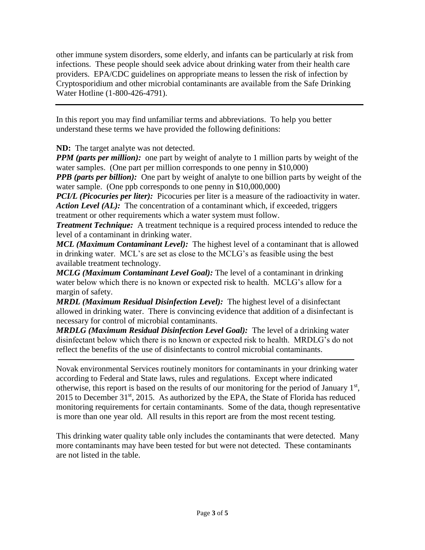other immune system disorders, some elderly, and infants can be particularly at risk from infections. These people should seek advice about drinking water from their health care providers. EPA/CDC guidelines on appropriate means to lessen the risk of infection by Cryptosporidium and other microbial contaminants are available from the Safe Drinking Water Hotline (1-800-426-4791).

In this report you may find unfamiliar terms and abbreviations. To help you better understand these terms we have provided the following definitions:

**ND:** The target analyte was not detected.

*PPM (parts per million):* one part by weight of analyte to 1 million parts by weight of the water samples. (One part per million corresponds to one penny in \$10,000)

*PPB (parts per billion):* One part by weight of analyte to one billion parts by weight of the water sample. (One ppb corresponds to one penny in \$10,000,000)

*PCI/L (Picocuries per liter)*: Picocuries per liter is a measure of the radioactivity in water. *Action Level (AL)*: The concentration of a contaminant which, if exceeded, triggers treatment or other requirements which a water system must follow.

*Treatment Technique:* A treatment technique is a required process intended to reduce the level of a contaminant in drinking water.

*MCL (Maximum Contaminant Level):* The highest level of a contaminant that is allowed in drinking water. MCL's are set as close to the MCLG's as feasible using the best available treatment technology.

*MCLG (Maximum Contaminant Level Goal):* The level of a contaminant in drinking water below which there is no known or expected risk to health. MCLG's allow for a margin of safety.

*MRDL (Maximum Residual Disinfection Level):* The highest level of a disinfectant allowed in drinking water. There is convincing evidence that addition of a disinfectant is necessary for control of microbial contaminants.

*MRDLG (Maximum Residual Disinfection Level Goal):* The level of a drinking water disinfectant below which there is no known or expected risk to health. MRDLG's do not reflect the benefits of the use of disinfectants to control microbial contaminants.

Novak environmental Services routinely monitors for contaminants in your drinking water according to Federal and State laws, rules and regulations. Except where indicated otherwise, this report is based on the results of our monitoring for the period of January  $1<sup>st</sup>$ , 2015 to December  $31<sup>st</sup>$ , 2015. As authorized by the EPA, the State of Florida has reduced monitoring requirements for certain contaminants. Some of the data, though representative is more than one year old. All results in this report are from the most recent testing.

This drinking water quality table only includes the contaminants that were detected. Many more contaminants may have been tested for but were not detected. These contaminants are not listed in the table.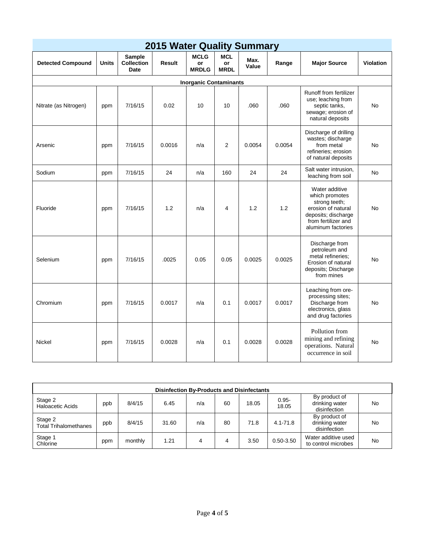| <b>2015 Water Quality Summary</b> |              |                                     |               |                                   |                                 |               |        |                                                                                                                                             |                  |  |
|-----------------------------------|--------------|-------------------------------------|---------------|-----------------------------------|---------------------------------|---------------|--------|---------------------------------------------------------------------------------------------------------------------------------------------|------------------|--|
| <b>Detected Compound</b>          | <b>Units</b> | Sample<br><b>Collection</b><br>Date | <b>Result</b> | <b>MCLG</b><br>or<br><b>MRDLG</b> | <b>MCL</b><br>or<br><b>MRDL</b> | Max.<br>Value | Range  | <b>Major Source</b>                                                                                                                         | <b>Violation</b> |  |
| <b>Inorganic Contaminants</b>     |              |                                     |               |                                   |                                 |               |        |                                                                                                                                             |                  |  |
| Nitrate (as Nitrogen)             | ppm          | 7/16/15                             | 0.02          | 10                                | 10                              | .060          | .060   | Runoff from fertilizer<br>use; leaching from<br>septic tanks,<br>sewage; erosion of<br>natural deposits                                     | <b>No</b>        |  |
| Arsenic                           | ppm          | 7/16/15                             | 0.0016        | n/a                               | 2                               | 0.0054        | 0.0054 | Discharge of drilling<br>wastes; discharge<br>from metal<br>refineries; erosion<br>of natural deposits                                      | <b>No</b>        |  |
| Sodium                            | ppm          | 7/16/15                             | 24            | n/a                               | 160                             | 24            | 24     | Salt water intrusion,<br>leaching from soil                                                                                                 | No               |  |
| Fluoride                          | ppm          | 7/16/15                             | 1.2           | n/a                               | $\overline{4}$                  | 1.2           | 1.2    | Water additive<br>which promotes<br>strong teeth;<br>erosion of natural<br>deposits; discharge<br>from fertilizer and<br>aluminum factories | No               |  |
| Selenium                          | ppm          | 7/16/15                             | .0025         | 0.05                              | 0.05                            | 0.0025        | 0.0025 | Discharge from<br>petroleum and<br>metal refineries:<br>Erosion of natural<br>deposits; Discharge<br>from mines                             | No               |  |
| Chromium                          | ppm          | 7/16/15                             | 0.0017        | n/a                               | 0.1                             | 0.0017        | 0.0017 | Leaching from ore-<br>processing sites;<br>Discharge from<br>electronics, glass<br>and drug factories                                       | <b>No</b>        |  |
| <b>Nickel</b>                     | ppm          | 7/16/15                             | 0.0028        | n/a                               | 0.1                             | 0.0028        | 0.0028 | Pollution from<br>mining and refining<br>operations. Natural<br>occurrence in soil                                                          | No               |  |

| <b>Disinfection By-Products and Disinfectants</b> |     |         |       |     |    |       |                   |                                                 |           |  |
|---------------------------------------------------|-----|---------|-------|-----|----|-------|-------------------|-------------------------------------------------|-----------|--|
| Stage 2<br><b>Haloacetic Acids</b>                | ppb | 8/4/15  | 6.45  | n/a | 60 | 18.05 | $0.95 -$<br>18.05 | By product of<br>drinking water<br>disinfection | No        |  |
| Stage 2<br><b>Total Trihalomethanes</b>           | ppb | 8/4/15  | 31.60 | n/a | 80 | 71.8  | $4.1 - 71.8$      | By product of<br>drinking water<br>disinfection | <b>No</b> |  |
| Stage 1<br>Chlorine                               | ppm | monthly | 1.21  | 4   | 4  | 3.50  | $0.50 - 3.50$     | Water additive used<br>to control microbes      | No.       |  |